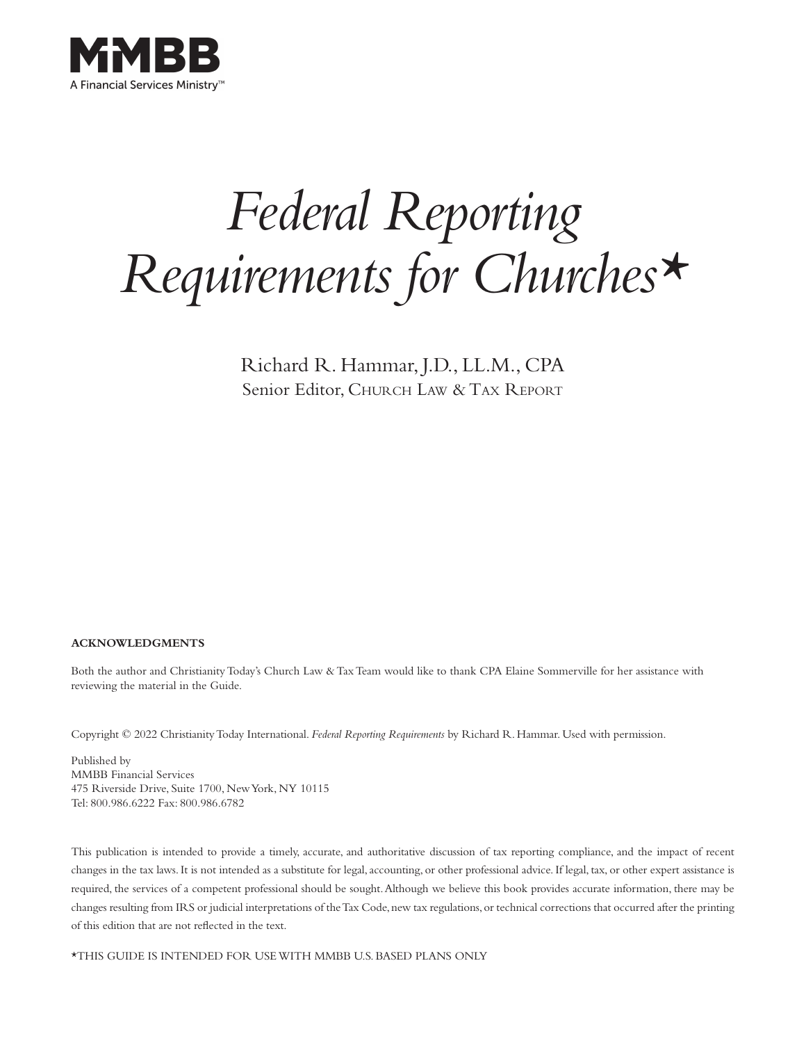

# *Federal Reporting Requirements for Churches\**

Richard R. Hammar, J.D., LL.M., CPA Senior Editor, CHURCH LAW & TAX REPORT

#### **ACKNOWLEDGMENTS**

Both the author and Christianity Today's Church Law & Tax Team would like to thank CPA Elaine Sommerville for her assistance with reviewing the material in the Guide.

Copyright © 2022 Christianity Today International. *Federal Reporting Requirements* by Richard R. Hammar. Used with permission.

Published by MMBB Financial Services 475 Riverside Drive, Suite 1700, New York, NY 10115 Tel: 800.986.6222 Fax: 800.986.6782

This publication is intended to provide a timely, accurate, and authoritative discussion of tax reporting compliance, and the impact of recent changes in the tax laws. It is not intended as a substitute for legal, accounting, or other professional advice. If legal, tax, or other expert assistance is required, the services of a competent professional should be sought. Although we believe this book provides accurate information, there may be changes resulting from IRS or judicial interpretations of the Tax Code, new tax regulations, or technical corrections that occurred after the printing of this edition that are not reflected in the text.

\*THIS GUIDE IS INTENDED FOR USE WITH MMBB U.S. BASED PLANS ONLY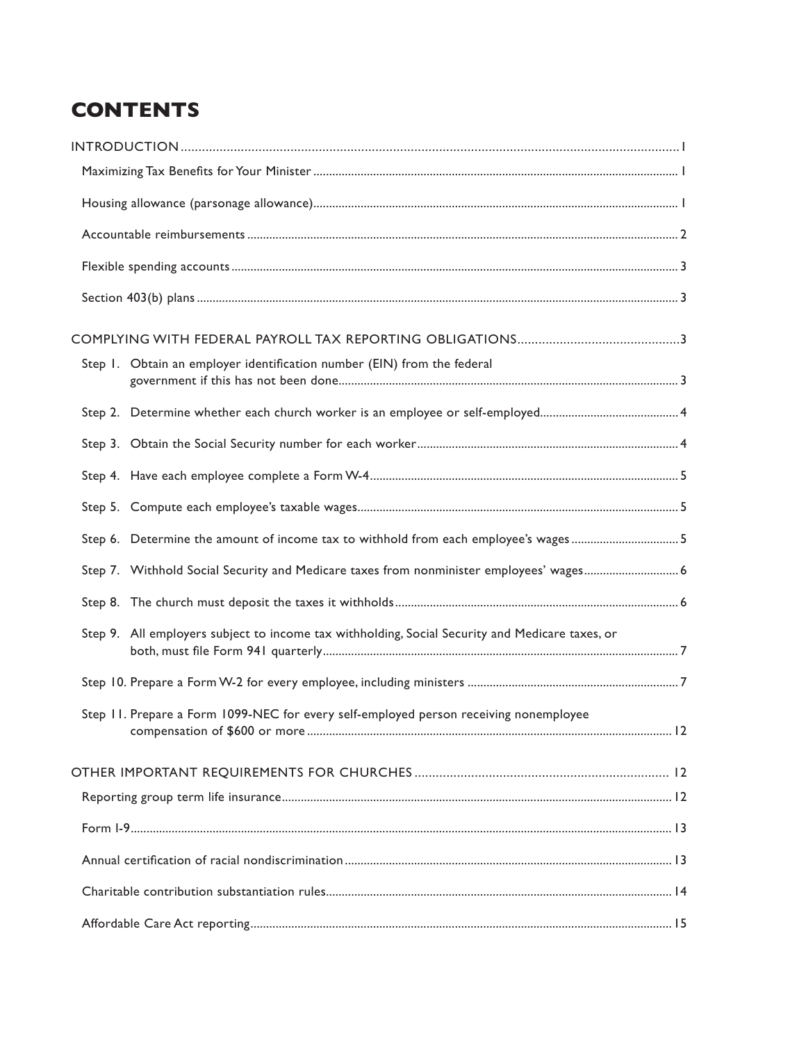# **CONTENTS**

| Step 1. Obtain an employer identification number (EIN) from the federal                         |  |
|-------------------------------------------------------------------------------------------------|--|
|                                                                                                 |  |
|                                                                                                 |  |
|                                                                                                 |  |
|                                                                                                 |  |
| Step 6. Determine the amount of income tax to withhold from each employee's wages5              |  |
| Step 7. Withhold Social Security and Medicare taxes from nonminister employees' wages 6         |  |
|                                                                                                 |  |
| Step 9. All employers subject to income tax withholding, Social Security and Medicare taxes, or |  |
|                                                                                                 |  |
| Step 11. Prepare a Form 1099-NEC for every self-employed person receiving nonemployee           |  |
|                                                                                                 |  |
|                                                                                                 |  |
|                                                                                                 |  |
|                                                                                                 |  |
|                                                                                                 |  |
|                                                                                                 |  |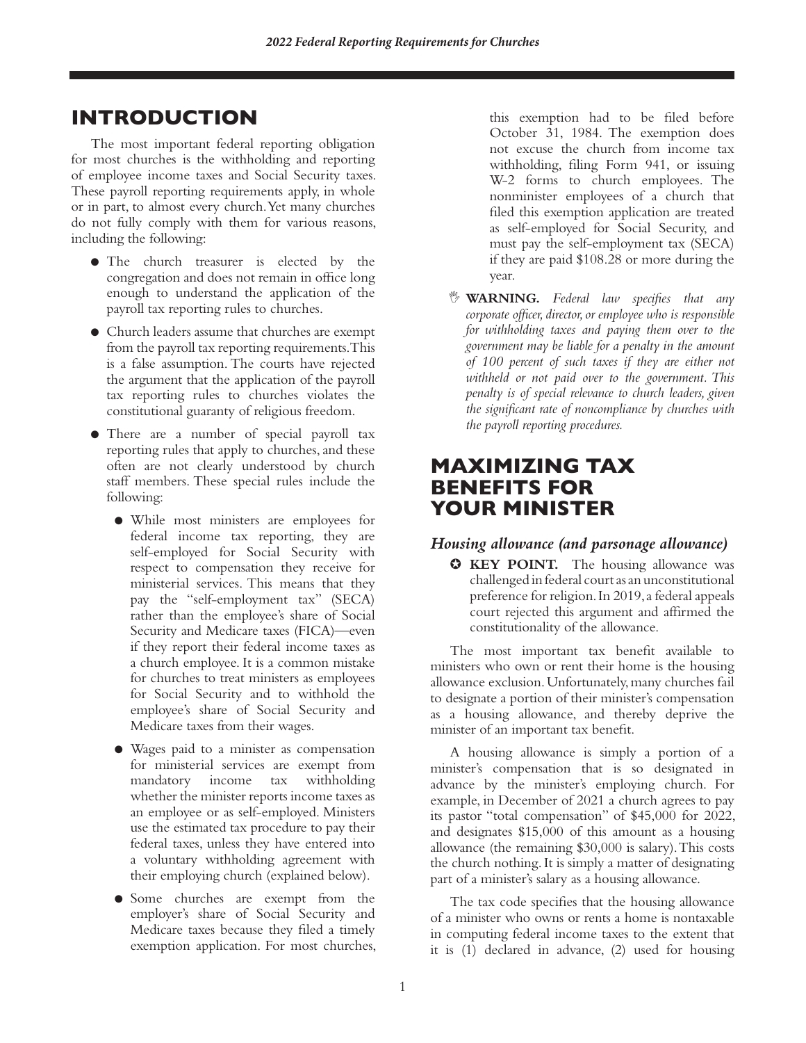# **INTRODUCTION**

The most important federal reporting obligation for most churches is the withholding and reporting of employee income taxes and Social Security taxes. These payroll reporting requirements apply, in whole or in part, to almost every church. Yet many churches do not fully comply with them for various reasons, including the following:

- The church treasurer is elected by the congregation and does not remain in office long enough to understand the application of the payroll tax reporting rules to churches.
- Church leaders assume that churches are exempt from the payroll tax reporting requirements. This is a false assumption. The courts have rejected the argument that the application of the payroll tax reporting rules to churches violates the constitutional guaranty of religious freedom.
- There are a number of special payroll tax reporting rules that apply to churches, and these often are not clearly understood by church staff members. These special rules include the following:
	- While most ministers are employees for federal income tax reporting, they are self-employed for Social Security with respect to compensation they receive for ministerial services. This means that they pay the "self-employment tax" (SECA) rather than the employee's share of Social Security and Medicare taxes (FICA)—even if they report their federal income taxes as a church employee. It is a common mistake for churches to treat ministers as employees for Social Security and to withhold the employee's share of Social Security and Medicare taxes from their wages.
	- Wages paid to a minister as compensation for ministerial services are exempt from mandatory income tax withholding whether the minister reports income taxes as an employee or as self-employed. Ministers use the estimated tax procedure to pay their federal taxes, unless they have entered into a voluntary withholding agreement with their employing church (explained below).
	- Some churches are exempt from the employer's share of Social Security and Medicare taxes because they filed a timely exemption application. For most churches,

this exemption had to be filed before October 31, 1984. The exemption does not excuse the church from income tax withholding, filing Form 941, or issuing W-2 forms to church employees. The nonminister employees of a church that filed this exemption application are treated as self-employed for Social Security, and must pay the self-employment tax (SECA) if they are paid \$108.28 or more during the year.

, **WARNING.** *Federal law specifies that any corporate officer, director, or employee who is responsible for withholding taxes and paying them over to the government may be liable for a penalty in the amount of 100 percent of such taxes if they are either not withheld or not paid over to the government. This penalty is of special relevance to church leaders, given the significant rate of noncompliance by churches with the payroll reporting procedures.*

# **MAXIMIZING TAX BENEFITS FOR YOUR MINISTER**

# *Housing allowance (and parsonage allowance)*

✪ **KEY POINT.** The housing allowance was challenged in federal court as an unconstitutional preference for religion. In 2019, a federal appeals court rejected this argument and affirmed the constitutionality of the allowance.

The most important tax benefit available to ministers who own or rent their home is the housing allowance exclusion. Unfortunately, many churches fail to designate a portion of their minister's compensation as a housing allowance, and thereby deprive the minister of an important tax benefit.

A housing allowance is simply a portion of a minister's compensation that is so designated in advance by the minister's employing church. For example, in December of 2021 a church agrees to pay its pastor "total compensation" of \$45,000 for 2022, and designates \$15,000 of this amount as a housing allowance (the remaining \$30,000 is salary). This costs the church nothing. It is simply a matter of designating part of a minister's salary as a housing allowance.

The tax code specifies that the housing allowance of a minister who owns or rents a home is nontaxable in computing federal income taxes to the extent that it is (1) declared in advance, (2) used for housing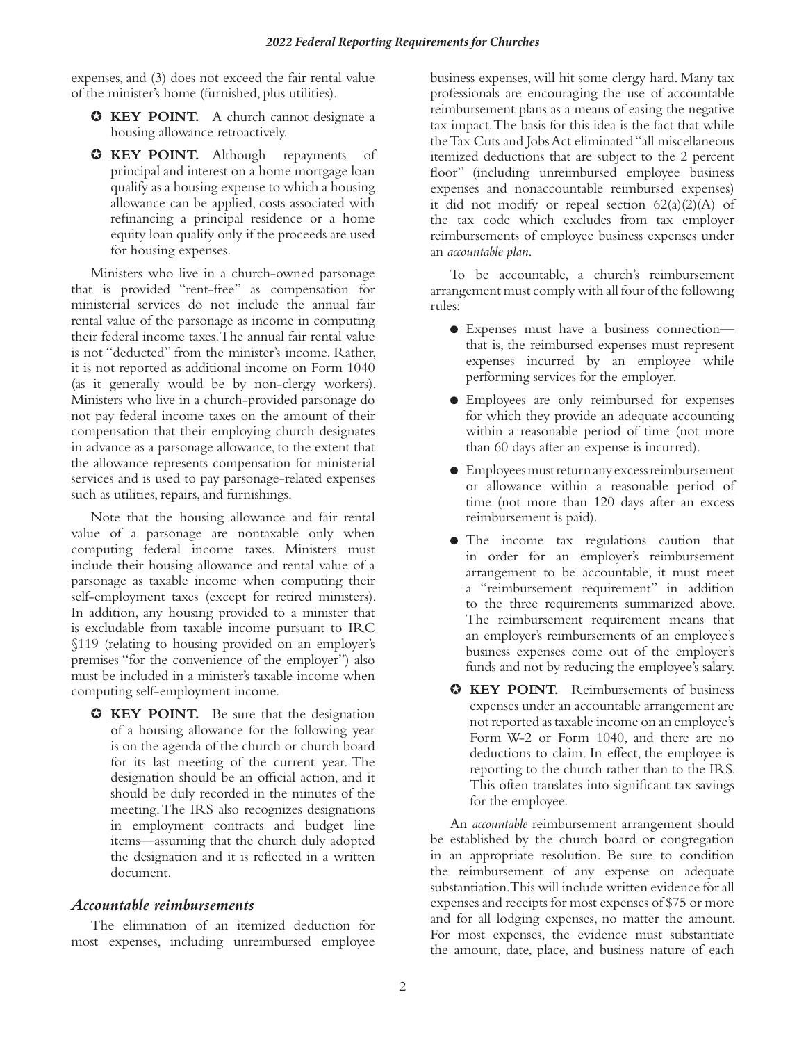expenses, and (3) does not exceed the fair rental value of the minister's home (furnished, plus utilities).

- ✪ **KEY POINT.** A church cannot designate a housing allowance retroactively.
- ✪ **KEY POINT.** Although repayments of principal and interest on a home mortgage loan qualify as a housing expense to which a housing allowance can be applied, costs associated with refinancing a principal residence or a home equity loan qualify only if the proceeds are used for housing expenses.

Ministers who live in a church-owned parsonage that is provided "rent-free" as compensation for ministerial services do not include the annual fair rental value of the parsonage as income in computing their federal income taxes. The annual fair rental value is not "deducted" from the minister's income. Rather, it is not reported as additional income on Form 1040 (as it generally would be by non-clergy workers). Ministers who live in a church-provided parsonage do not pay federal income taxes on the amount of their compensation that their employing church designates in advance as a parsonage allowance, to the extent that the allowance represents compensation for ministerial services and is used to pay parsonage-related expenses such as utilities, repairs, and furnishings.

Note that the housing allowance and fair rental value of a parsonage are nontaxable only when computing federal income taxes. Ministers must include their housing allowance and rental value of a parsonage as taxable income when computing their self-employment taxes (except for retired ministers). In addition, any housing provided to a minister that is excludable from taxable income pursuant to IRC §119 (relating to housing provided on an employer's premises "for the convenience of the employer") also must be included in a minister's taxable income when computing self-employment income.

✪ **KEY POINT.** Be sure that the designation of a housing allowance for the following year is on the agenda of the church or church board for its last meeting of the current year. The designation should be an official action, and it should be duly recorded in the minutes of the meeting. The IRS also recognizes designations in employment contracts and budget line items—assuming that the church duly adopted the designation and it is reflected in a written document.

#### *Accountable reimbursements*

The elimination of an itemized deduction for most expenses, including unreimbursed employee

business expenses, will hit some clergy hard. Many tax professionals are encouraging the use of accountable reimbursement plans as a means of easing the negative tax impact. The basis for this idea is the fact that while the Tax Cuts and Jobs Act eliminated "all miscellaneous itemized deductions that are subject to the 2 percent floor" (including unreimbursed employee business expenses and nonaccountable reimbursed expenses) it did not modify or repeal section  $62(a)(2)(A)$  of the tax code which excludes from tax employer reimbursements of employee business expenses under an *accountable plan*.

To be accountable, a church's reimbursement arrangement must comply with all four of the following rules:

- Expenses must have a business connection that is, the reimbursed expenses must represent expenses incurred by an employee while performing services for the employer.
- Employees are only reimbursed for expenses for which they provide an adequate accounting within a reasonable period of time (not more than 60 days after an expense is incurred).
- Employees must return any excess reimbursement or allowance within a reasonable period of time (not more than 120 days after an excess reimbursement is paid).
- The income tax regulations caution that in order for an employer's reimbursement arrangement to be accountable, it must meet a "reimbursement requirement" in addition to the three requirements summarized above. The reimbursement requirement means that an employer's reimbursements of an employee's business expenses come out of the employer's funds and not by reducing the employee's salary.
- ✪ **KEY POINT.** Reimbursements of business expenses under an accountable arrangement are not reported as taxable income on an employee's Form W-2 or Form 1040, and there are no deductions to claim. In effect, the employee is reporting to the church rather than to the IRS. This often translates into significant tax savings for the employee.

An *accountable* reimbursement arrangement should be established by the church board or congregation in an appropriate resolution. Be sure to condition the reimbursement of any expense on adequate substantiation. This will include written evidence for all expenses and receipts for most expenses of \$75 or more and for all lodging expenses, no matter the amount. For most expenses, the evidence must substantiate the amount, date, place, and business nature of each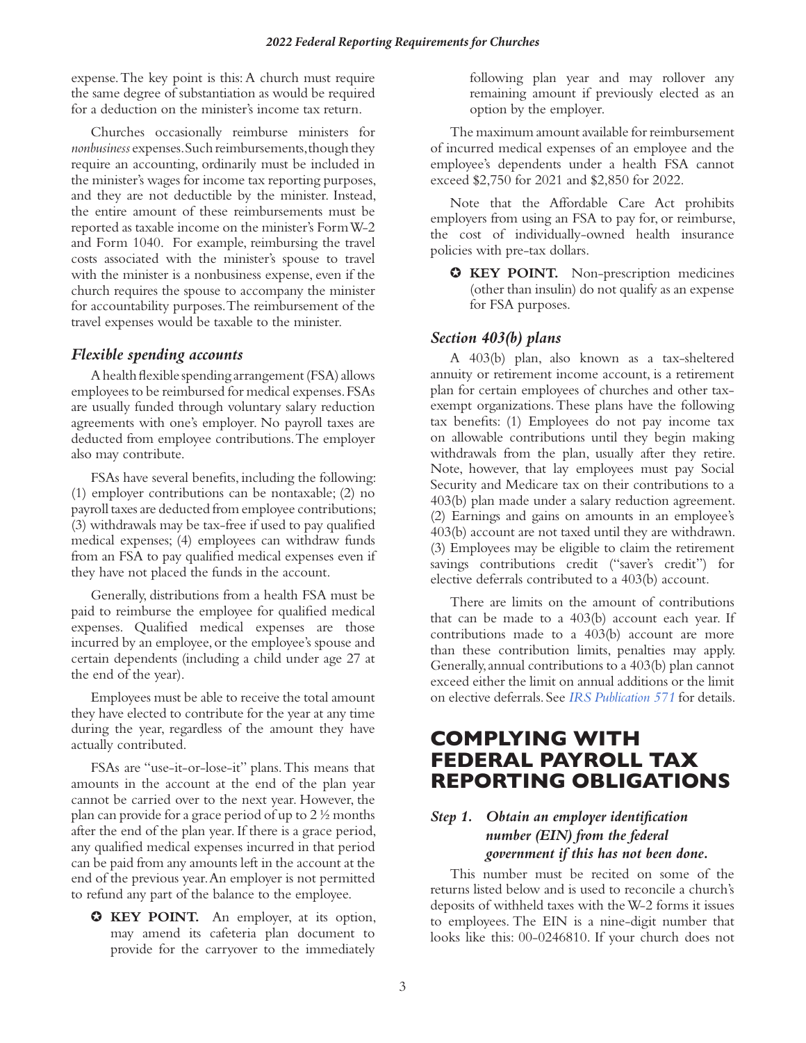expense. The key point is this: A church must require the same degree of substantiation as would be required for a deduction on the minister's income tax return.

Churches occasionally reimburse ministers for *nonbusiness* expenses. Such reimbursements, though they require an accounting, ordinarily must be included in the minister's wages for income tax reporting purposes, and they are not deductible by the minister. Instead, the entire amount of these reimbursements must be reported as taxable income on the minister's Form W-2 and Form 1040. For example, reimbursing the travel costs associated with the minister's spouse to travel with the minister is a nonbusiness expense, even if the church requires the spouse to accompany the minister for accountability purposes. The reimbursement of the travel expenses would be taxable to the minister.

#### *Flexible spending accounts*

A health flexible spending arrangement (FSA) allows employees to be reimbursed for medical expenses. FSAs are usually funded through voluntary salary reduction agreements with one's employer. No payroll taxes are deducted from employee contributions. The employer also may contribute.

FSAs have several benefits, including the following: (1) employer contributions can be nontaxable; (2) no payroll taxes are deducted from employee contributions; (3) withdrawals may be tax-free if used to pay qualified medical expenses; (4) employees can withdraw funds from an FSA to pay qualified medical expenses even if they have not placed the funds in the account.

Generally, distributions from a health FSA must be paid to reimburse the employee for qualified medical expenses. Qualified medical expenses are those incurred by an employee, or the employee's spouse and certain dependents (including a child under age 27 at the end of the year).

Employees must be able to receive the total amount they have elected to contribute for the year at any time during the year, regardless of the amount they have actually contributed.

FSAs are "use-it-or-lose-it" plans. This means that amounts in the account at the end of the plan year cannot be carried over to the next year. However, the plan can provide for a grace period of up to 2 ½ months after the end of the plan year. If there is a grace period, any qualified medical expenses incurred in that period can be paid from any amounts left in the account at the end of the previous year. An employer is not permitted to refund any part of the balance to the employee.

✪ **KEY POINT.** An employer, at its option, may amend its cafeteria plan document to provide for the carryover to the immediately

following plan year and may rollover any remaining amount if previously elected as an option by the employer.

The maximum amount available for reimbursement of incurred medical expenses of an employee and the employee's dependents under a health FSA cannot exceed \$2,750 for 2021 and \$2,850 for 2022.

Note that the Affordable Care Act prohibits employers from using an FSA to pay for, or reimburse, the cost of individually-owned health insurance policies with pre-tax dollars.

✪ **KEY POINT.** Non-prescription medicines (other than insulin) do not qualify as an expense for FSA purposes.

#### *Section 403(b) plans*

A 403(b) plan, also known as a tax-sheltered annuity or retirement income account, is a retirement plan for certain employees of churches and other taxexempt organizations. These plans have the following tax benefits: (1) Employees do not pay income tax on allowable contributions until they begin making withdrawals from the plan, usually after they retire. Note, however, that lay employees must pay Social Security and Medicare tax on their contributions to a 403(b) plan made under a salary reduction agreement. (2) Earnings and gains on amounts in an employee's 403(b) account are not taxed until they are withdrawn. (3) Employees may be eligible to claim the retirement savings contributions credit ("saver's credit") for elective deferrals contributed to a 403(b) account.

There are limits on the amount of contributions that can be made to a 403(b) account each year. If contributions made to a 403(b) account are more than these contribution limits, penalties may apply. Generally, annual contributions to a 403(b) plan cannot exceed either the limit on annual additions or the limit on elective deferrals. See *[IRS Publication 571](https://www.irs.gov/publications/p571)* for details.

# **COMPLYING WITH FEDERAL PAYROLL TAX REPORTING OBLIGATIONS**

## *Step 1. Obtain an employer identification number (EIN) from the federal government if this has not been done.*

This number must be recited on some of the returns listed below and is used to reconcile a church's deposits of withheld taxes with the W-2 forms it issues to employees. The EIN is a nine-digit number that looks like this: 00-0246810. If your church does not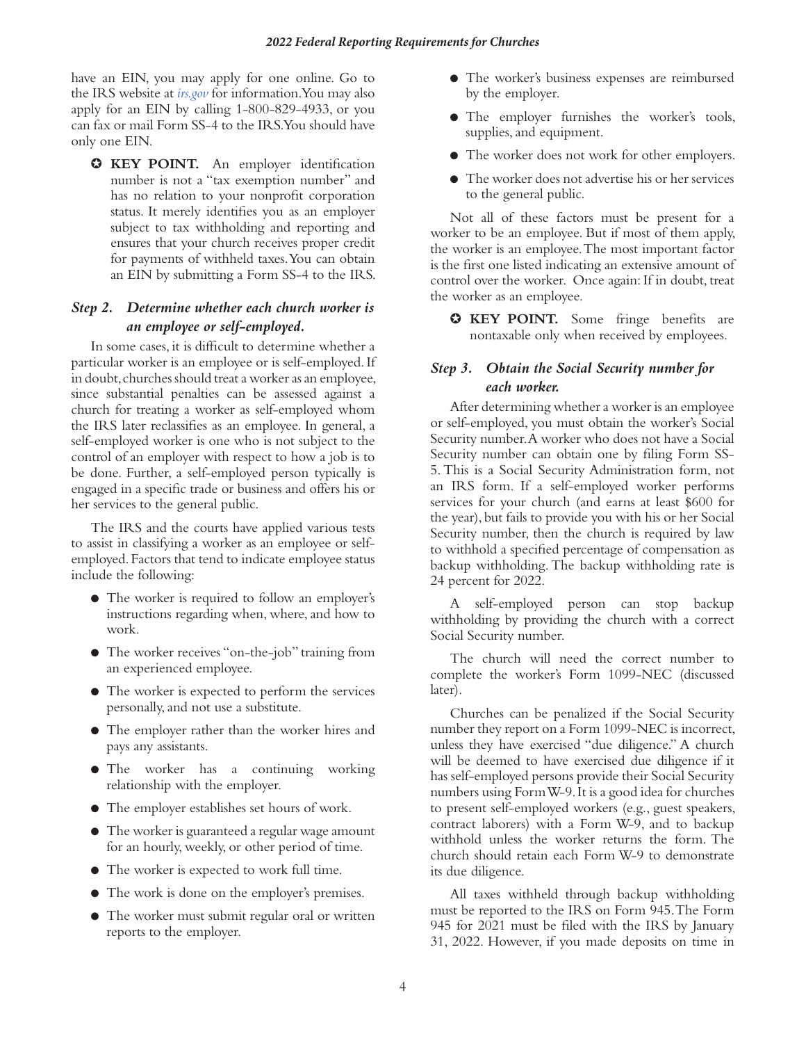have an EIN, you may apply for one online. Go to the IRS website at *[irs.gov](https://www.irs.gov/)* for information. You may also apply for an EIN by calling 1-800-829-4933, or you can fax or mail Form SS-4 to the IRS. You should have only one EIN.

✪ **KEY POINT.** An employer identification number is not a "tax exemption number" and has no relation to your nonprofit corporation status. It merely identifies you as an employer subject to tax withholding and reporting and ensures that your church receives proper credit for payments of withheld taxes. You can obtain an EIN by submitting a Form SS-4 to the IRS.

# *Step 2. Determine whether each church worker is an employee or self-employed.*

In some cases, it is difficult to determine whether a particular worker is an employee or is self-employed. If in doubt, churches should treat a worker as an employee, since substantial penalties can be assessed against a church for treating a worker as self-employed whom the IRS later reclassifies as an employee. In general, a self-employed worker is one who is not subject to the control of an employer with respect to how a job is to be done. Further, a self-employed person typically is engaged in a specific trade or business and offers his or her services to the general public.

The IRS and the courts have applied various tests to assist in classifying a worker as an employee or selfemployed. Factors that tend to indicate employee status include the following:

- The worker is required to follow an employer's instructions regarding when, where, and how to work.
- The worker receives "on-the-job" training from an experienced employee.
- The worker is expected to perform the services personally, and not use a substitute.
- The employer rather than the worker hires and pays any assistants.
- The worker has a continuing working relationship with the employer.
- The employer establishes set hours of work.
- The worker is guaranteed a regular wage amount for an hourly, weekly, or other period of time.
- The worker is expected to work full time.
- The work is done on the employer's premises.
- The worker must submit regular oral or written reports to the employer.
- The worker's business expenses are reimbursed by the employer.
- The employer furnishes the worker's tools, supplies, and equipment.
- The worker does not work for other employers.
- The worker does not advertise his or her services to the general public.

Not all of these factors must be present for a worker to be an employee. But if most of them apply, the worker is an employee. The most important factor is the first one listed indicating an extensive amount of control over the worker. Once again: If in doubt, treat the worker as an employee.

✪ **KEY POINT.** Some fringe benefits are nontaxable only when received by employees.

# *Step 3. Obtain the Social Security number for each worker.*

After determining whether a worker is an employee or self-employed, you must obtain the worker's Social Security number. A worker who does not have a Social Security number can obtain one by filing Form SS-5. This is a Social Security Administration form, not an IRS form. If a self-employed worker performs services for your church (and earns at least \$600 for the year), but fails to provide you with his or her Social Security number, then the church is required by law to withhold a specified percentage of compensation as backup withholding. The backup withholding rate is 24 percent for 2022.

A self-employed person can stop backup withholding by providing the church with a correct Social Security number.

The church will need the correct number to complete the worker's Form 1099-NEC (discussed later).

Churches can be penalized if the Social Security number they report on a Form 1099-NEC is incorrect, unless they have exercised "due diligence." A church will be deemed to have exercised due diligence if it has self-employed persons provide their Social Security numbers using Form W-9. It is a good idea for churches to present self-employed workers (e.g., guest speakers, contract laborers) with a Form W-9, and to backup withhold unless the worker returns the form. The church should retain each Form W-9 to demonstrate its due diligence.

All taxes withheld through backup withholding must be reported to the IRS on Form 945. The Form 945 for 2021 must be filed with the IRS by January 31, 2022. However, if you made deposits on time in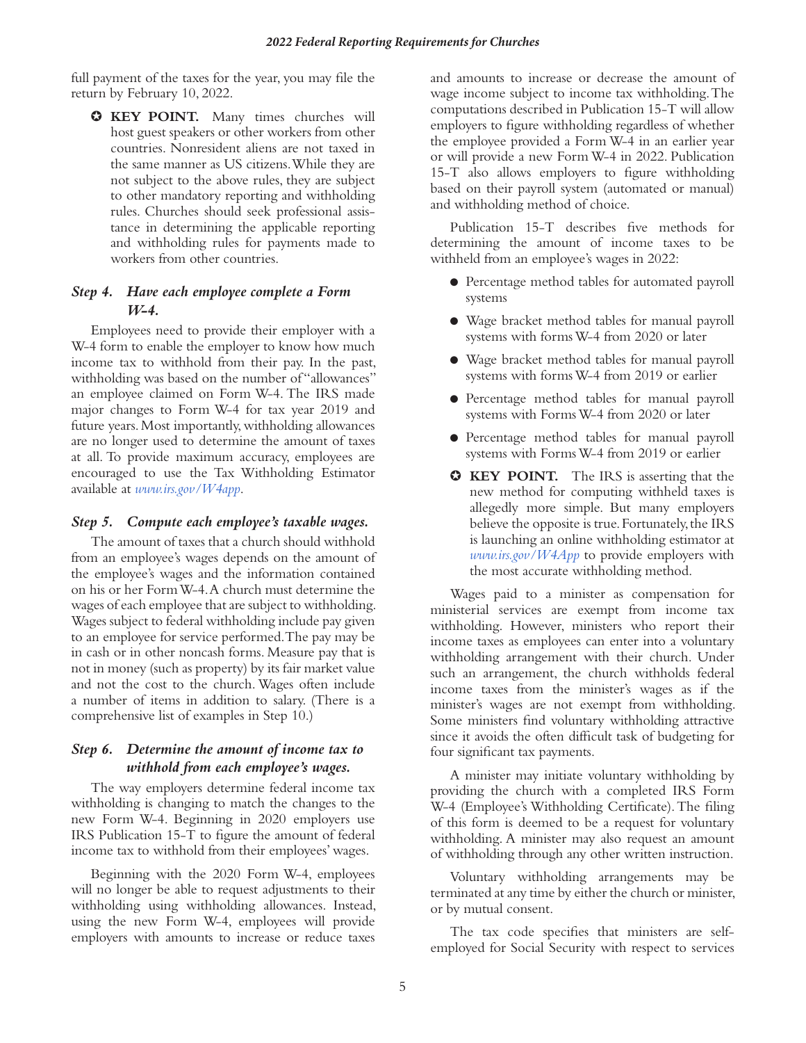full payment of the taxes for the year, you may file the return by February 10, 2022.

✪ **KEY POINT.** Many times churches will host guest speakers or other workers from other countries. Nonresident aliens are not taxed in the same manner as US citizens. While they are not subject to the above rules, they are subject to other mandatory reporting and withholding rules. Churches should seek professional assistance in determining the applicable reporting and withholding rules for payments made to workers from other countries.

#### *Step 4. Have each employee complete a Form W-4.*

Employees need to provide their employer with a W-4 form to enable the employer to know how much income tax to withhold from their pay. In the past, withholding was based on the number of "allowances" an employee claimed on Form W-4. The IRS made major changes to Form W-4 for tax year 2019 and future years. Most importantly, withholding allowances are no longer used to determine the amount of taxes at all. To provide maximum accuracy, employees are encouraged to use the Tax Withholding Estimator available at *[www.irs.gov/W4app](http://www.irs.gov/W4app)*.

#### *Step 5. Compute each employee's taxable wages.*

The amount of taxes that a church should withhold from an employee's wages depends on the amount of the employee's wages and the information contained on his or her Form W-4. A church must determine the wages of each employee that are subject to withholding. Wages subject to federal withholding include pay given to an employee for service performed. The pay may be in cash or in other noncash forms. Measure pay that is not in money (such as property) by its fair market value and not the cost to the church. Wages often include a number of items in addition to salary. (There is a comprehensive list of examples in Step 10.)

#### *Step 6. Determine the amount of income tax to withhold from each employee's wages.*

The way employers determine federal income tax withholding is changing to match the changes to the new Form W-4. Beginning in 2020 employers use IRS Publication 15-T to figure the amount of federal income tax to withhold from their employees' wages.

Beginning with the 2020 Form W-4, employees will no longer be able to request adjustments to their withholding using withholding allowances. Instead, using the new Form W-4, employees will provide employers with amounts to increase or reduce taxes

and amounts to increase or decrease the amount of wage income subject to income tax withholding. The computations described in Publication 15-T will allow employers to figure withholding regardless of whether the employee provided a Form W-4 in an earlier year or will provide a new Form W-4 in 2022. Publication 15-T also allows employers to figure withholding based on their payroll system (automated or manual) and withholding method of choice.

Publication 15-T describes five methods for determining the amount of income taxes to be withheld from an employee's wages in 2022:

- Percentage method tables for automated payroll systems
- Wage bracket method tables for manual payroll systems with forms W-4 from 2020 or later
- Wage bracket method tables for manual payroll systems with forms W-4 from 2019 or earlier
- Percentage method tables for manual payroll systems with Forms W-4 from 2020 or later
- Percentage method tables for manual payroll systems with Forms W-4 from 2019 or earlier
- ✪ **KEY POINT.** The IRS is asserting that the new method for computing withheld taxes is allegedly more simple. But many employers believe the opposite is true. Fortunately, the IRS is launching an online withholding estimator at *[www.irs.gov/W4App](http://www.irs.gov/W4App)* to provide employers with the most accurate withholding method.

Wages paid to a minister as compensation for ministerial services are exempt from income tax withholding. However, ministers who report their income taxes as employees can enter into a voluntary withholding arrangement with their church. Under such an arrangement, the church withholds federal income taxes from the minister's wages as if the minister's wages are not exempt from withholding. Some ministers find voluntary withholding attractive since it avoids the often difficult task of budgeting for four significant tax payments.

A minister may initiate voluntary withholding by providing the church with a completed IRS Form W-4 (Employee's Withholding Certificate). The filing of this form is deemed to be a request for voluntary withholding. A minister may also request an amount of withholding through any other written instruction.

Voluntary withholding arrangements may be terminated at any time by either the church or minister, or by mutual consent.

The tax code specifies that ministers are selfemployed for Social Security with respect to services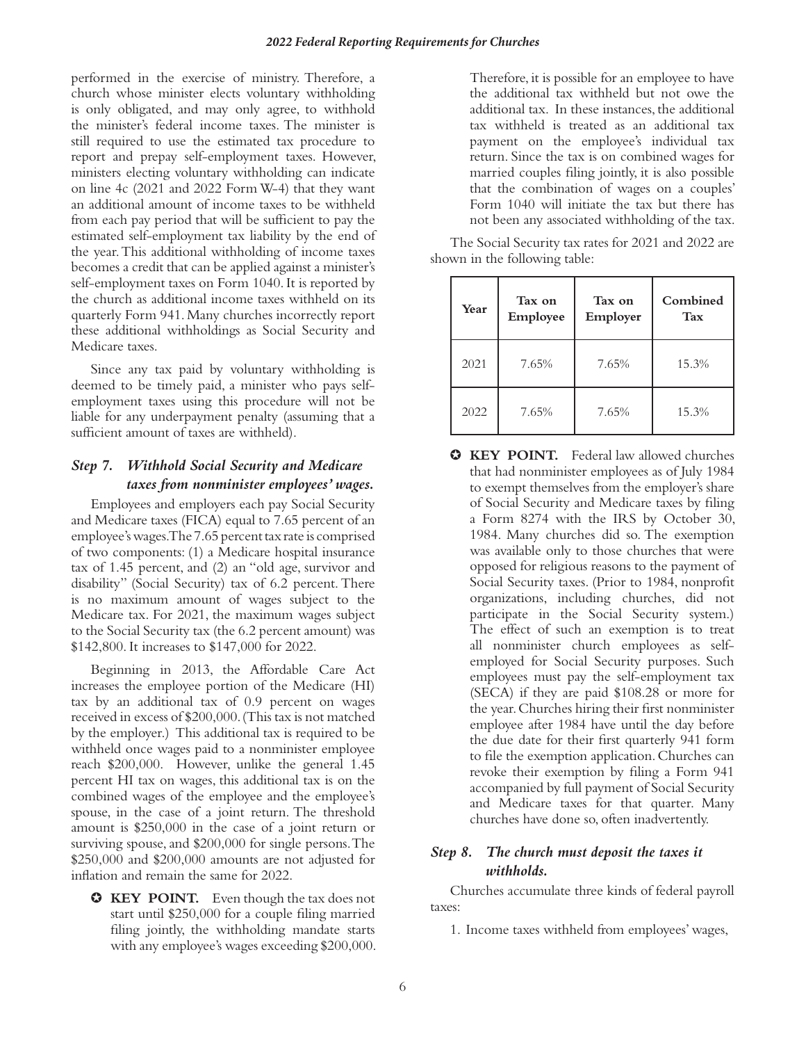performed in the exercise of ministry. Therefore, a church whose minister elects voluntary withholding is only obligated, and may only agree, to withhold the minister's federal income taxes. The minister is still required to use the estimated tax procedure to report and prepay self-employment taxes. However, ministers electing voluntary withholding can indicate on line 4c (2021 and 2022 Form W-4) that they want an additional amount of income taxes to be withheld from each pay period that will be sufficient to pay the estimated self-employment tax liability by the end of the year. This additional withholding of income taxes becomes a credit that can be applied against a minister's self-employment taxes on Form 1040. It is reported by the church as additional income taxes withheld on its quarterly Form 941. Many churches incorrectly report these additional withholdings as Social Security and Medicare taxes.

Since any tax paid by voluntary withholding is deemed to be timely paid, a minister who pays selfemployment taxes using this procedure will not be liable for any underpayment penalty (assuming that a sufficient amount of taxes are withheld).

## *Step 7. Withhold Social Security and Medicare taxes from nonminister employees' wages.*

Employees and employers each pay Social Security and Medicare taxes (FICA) equal to 7.65 percent of an employee's wages. The 7.65 percent tax rate is comprised of two components: (1) a Medicare hospital insurance tax of 1.45 percent, and (2) an "old age, survivor and disability" (Social Security) tax of 6.2 percent. There is no maximum amount of wages subject to the Medicare tax. For 2021, the maximum wages subject to the Social Security tax (the 6.2 percent amount) was \$142,800. It increases to \$147,000 for 2022.

Beginning in 2013, the Affordable Care Act increases the employee portion of the Medicare (HI) tax by an additional tax of 0.9 percent on wages received in excess of \$200,000. (This tax is not matched by the employer.) This additional tax is required to be withheld once wages paid to a nonminister employee reach \$200,000. However, unlike the general 1.45 percent HI tax on wages, this additional tax is on the combined wages of the employee and the employee's spouse, in the case of a joint return. The threshold amount is \$250,000 in the case of a joint return or surviving spouse, and \$200,000 for single persons.The \$250,000 and \$200,000 amounts are not adjusted for inflation and remain the same for 2022.

✪ **KEY POINT.** Even though the tax does not start until \$250,000 for a couple filing married filing jointly, the withholding mandate starts with any employee's wages exceeding \$200,000. Therefore, it is possible for an employee to have the additional tax withheld but not owe the additional tax. In these instances, the additional tax withheld is treated as an additional tax payment on the employee's individual tax return. Since the tax is on combined wages for married couples filing jointly, it is also possible that the combination of wages on a couples' Form 1040 will initiate the tax but there has not been any associated withholding of the tax.

The Social Security tax rates for 2021 and 2022 are shown in the following table:

| Year | Tax on<br>Employee | Tax on<br>Employer | Combined<br><b>Tax</b> |
|------|--------------------|--------------------|------------------------|
| 2021 | 7.65%              | 7.65%              | 15.3%                  |
| 2022 | 7.65%              | 7.65%              | 15.3%                  |

✪ **KEY POINT.** Federal law allowed churches that had nonminister employees as of July 1984 to exempt themselves from the employer's share of Social Security and Medicare taxes by filing a Form 8274 with the IRS by October 30, 1984. Many churches did so. The exemption was available only to those churches that were opposed for religious reasons to the payment of Social Security taxes. (Prior to 1984, nonprofit organizations, including churches, did not participate in the Social Security system.) The effect of such an exemption is to treat all nonminister church employees as selfemployed for Social Security purposes. Such employees must pay the self-employment tax (SECA) if they are paid \$108.28 or more for the year. Churches hiring their first nonminister employee after 1984 have until the day before the due date for their first quarterly 941 form to file the exemption application. Churches can revoke their exemption by filing a Form 941 accompanied by full payment of Social Security and Medicare taxes for that quarter. Many churches have done so, often inadvertently.

# *Step 8. The church must deposit the taxes it withholds.*

Churches accumulate three kinds of federal payroll taxes:

1. Income taxes withheld from employees' wages,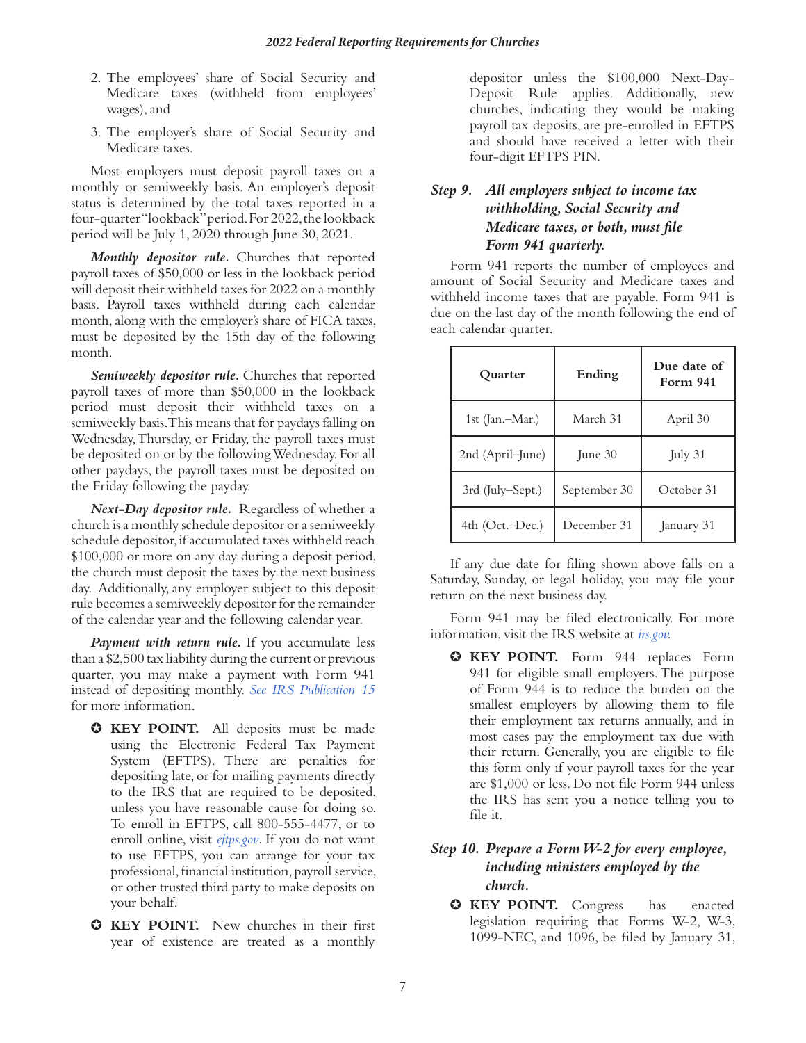- 2. The employees' share of Social Security and Medicare taxes (withheld from employees' wages), and
- 3. The employer's share of Social Security and Medicare taxes.

Most employers must deposit payroll taxes on a monthly or semiweekly basis. An employer's deposit status is determined by the total taxes reported in a four-quarter "lookback" period. For 2022, the lookback period will be July 1, 2020 through June 30, 2021.

*Monthly depositor rule.* Churches that reported payroll taxes of \$50,000 or less in the lookback period will deposit their withheld taxes for 2022 on a monthly basis. Payroll taxes withheld during each calendar month, along with the employer's share of FICA taxes, must be deposited by the 15th day of the following month.

*Semiweekly depositor rule.* Churches that reported payroll taxes of more than \$50,000 in the lookback period must deposit their withheld taxes on a semiweekly basis. This means that for paydays falling on Wednesday, Thursday, or Friday, the payroll taxes must be deposited on or by the following Wednesday. For all other paydays, the payroll taxes must be deposited on the Friday following the payday.

*Next-Day depositor rule.* Regardless of whether a church is a monthly schedule depositor or a semiweekly schedule depositor, if accumulated taxes withheld reach \$100,000 or more on any day during a deposit period, the church must deposit the taxes by the next business day. Additionally, any employer subject to this deposit rule becomes a semiweekly depositor for the remainder of the calendar year and the following calendar year.

*Payment with return rule.* If you accumulate less than a \$2,500 tax liability during the current or previous quarter, you may make a payment with Form 941 instead of depositing monthly. *[See IRS Publication](https://www.irs.gov/publications/p15) 15* for more information.

- ✪ **KEY POINT.** All deposits must be made using the Electronic Federal Tax Payment System (EFTPS). There are penalties for depositing late, or for mailing payments directly to the IRS that are required to be deposited, unless you have reasonable cause for doing so. To enroll in EFTPS, call 800-555-4477, or to enroll online, visit *[eftps.gov](http://eftps.gov)*. If you do not want to use EFTPS, you can arrange for your tax professional, financial institution, payroll service, or other trusted third party to make deposits on your behalf.
- ✪ **KEY POINT.** New churches in their first year of existence are treated as a monthly

depositor unless the \$100,000 Next-Day-Deposit Rule applies. Additionally, new churches, indicating they would be making payroll tax deposits, are pre-enrolled in EFTPS and should have received a letter with their four-digit EFTPS PIN.

# *Step 9. All employers subject to income tax withholding, Social Security and Medicare taxes, or both, must file Form 941 quarterly.*

Form 941 reports the number of employees and amount of Social Security and Medicare taxes and withheld income taxes that are payable. Form 941 is due on the last day of the month following the end of each calendar quarter.

| Quarter          | Ending       | Due date of<br>Form 941 |  |
|------------------|--------------|-------------------------|--|
| 1st (Jan.–Mar.)  | March 31     | April 30                |  |
| 2nd (April–June) | June 30      | July 31                 |  |
| 3rd (July–Sept.) | September 30 | October 31              |  |
| 4th (Oct.-Dec.)  | December 31  | January 31              |  |

If any due date for filing shown above falls on a Saturday, Sunday, or legal holiday, you may file your return on the next business day.

Form 941 may be filed electronically. For more information, visit the IRS website at *[irs.gov.](https://www.irs.gov/)*

✪ **KEY POINT.** Form 944 replaces Form 941 for eligible small employers. The purpose of Form 944 is to reduce the burden on the smallest employers by allowing them to file their employment tax returns annually, and in most cases pay the employment tax due with their return. Generally, you are eligible to file this form only if your payroll taxes for the year are \$1,000 or less. Do not file Form 944 unless the IRS has sent you a notice telling you to file it.

### *Step 10. Prepare a Form W-2 for every employee, including ministers employed by the church.*

✪ **KEY POINT.** Congress has enacted legislation requiring that Forms W-2, W-3, 1099-NEC, and 1096, be filed by January 31,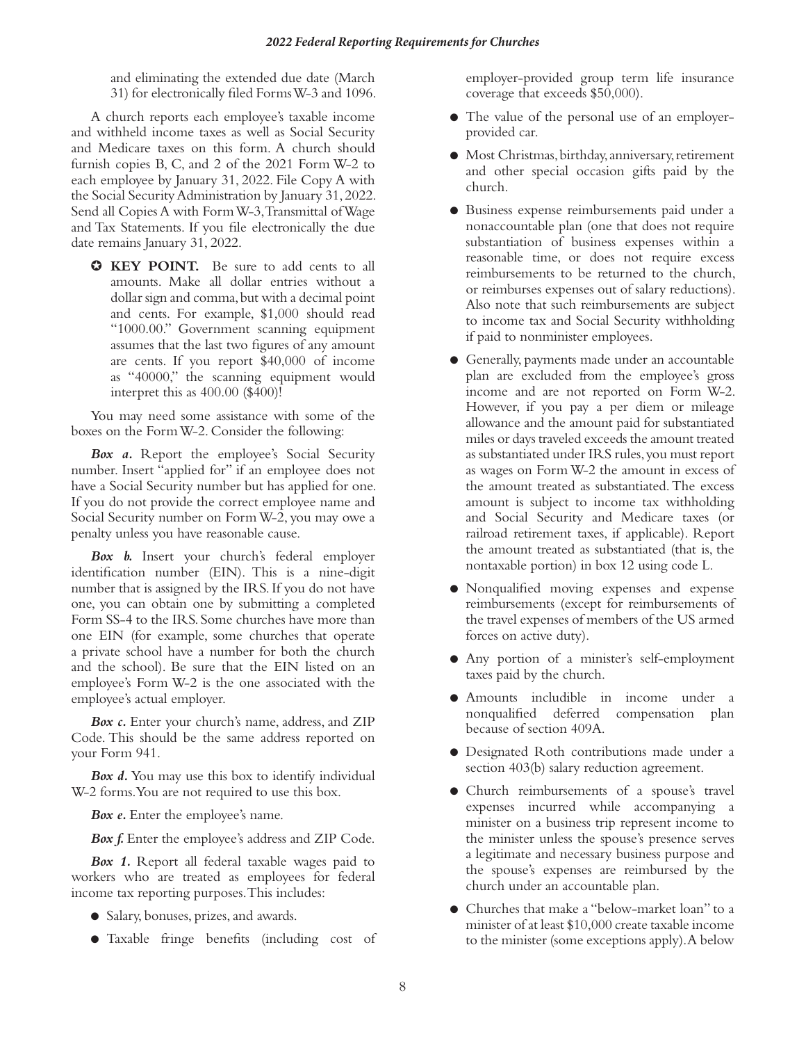and eliminating the extended due date (March 31) for electronically filed Forms W-3 and 1096.

A church reports each employee's taxable income and withheld income taxes as well as Social Security and Medicare taxes on this form. A church should furnish copies B, C, and 2 of the 2021 Form W-2 to each employee by January 31, 2022. File Copy A with the Social Security Administration by January 31, 2022. Send all Copies A with Form W-3, Transmittal of Wage and Tax Statements. If you file electronically the due date remains January 31, 2022.

✪ **KEY POINT.** Be sure to add cents to all amounts. Make all dollar entries without a dollar sign and comma, but with a decimal point and cents. For example, \$1,000 should read "1000.00." Government scanning equipment assumes that the last two figures of any amount are cents. If you report \$40,000 of income as "40000," the scanning equipment would interpret this as 400.00 (\$400)!

You may need some assistance with some of the boxes on the Form W-2. Consider the following:

**Box a.** Report the employee's Social Security number. Insert "applied for" if an employee does not have a Social Security number but has applied for one. If you do not provide the correct employee name and Social Security number on Form W-2, you may owe a penalty unless you have reasonable cause.

*Box b.* Insert your church's federal employer identification number (EIN). This is a nine-digit number that is assigned by the IRS. If you do not have one, you can obtain one by submitting a completed Form SS-4 to the IRS. Some churches have more than one EIN (for example, some churches that operate a private school have a number for both the church and the school). Be sure that the EIN listed on an employee's Form W-2 is the one associated with the employee's actual employer.

*Box c.* Enter your church's name, address, and ZIP Code. This should be the same address reported on your Form 941.

*Box d.* You may use this box to identify individual W-2 forms. You are not required to use this box.

*Box e.* Enter the employee's name.

Box f. Enter the employee's address and ZIP Code.

*Box 1.* Report all federal taxable wages paid to workers who are treated as employees for federal income tax reporting purposes. This includes:

- Salary, bonuses, prizes, and awards.
- Taxable fringe benefits (including cost of

employer-provided group term life insurance coverage that exceeds \$50,000).

- The value of the personal use of an employerprovided car.
- Most Christmas, birthday, anniversary, retirement and other special occasion gifts paid by the church.
- Business expense reimbursements paid under a nonaccountable plan (one that does not require substantiation of business expenses within a reasonable time, or does not require excess reimbursements to be returned to the church, or reimburses expenses out of salary reductions). Also note that such reimbursements are subject to income tax and Social Security withholding if paid to nonminister employees.
- Generally, payments made under an accountable plan are excluded from the employee's gross income and are not reported on Form W-2. However, if you pay a per diem or mileage allowance and the amount paid for substantiated miles or days traveled exceeds the amount treated as substantiated under IRS rules, you must report as wages on Form W-2 the amount in excess of the amount treated as substantiated. The excess amount is subject to income tax withholding and Social Security and Medicare taxes (or railroad retirement taxes, if applicable). Report the amount treated as substantiated (that is, the nontaxable portion) in box 12 using code L.
- Nonqualified moving expenses and expense reimbursements (except for reimbursements of the travel expenses of members of the US armed forces on active duty).
- Any portion of a minister's self-employment taxes paid by the church.
- Amounts includible in income under a nonqualified deferred compensation plan because of section 409A.
- Designated Roth contributions made under a section 403(b) salary reduction agreement.
- Church reimbursements of a spouse's travel expenses incurred while accompanying a minister on a business trip represent income to the minister unless the spouse's presence serves a legitimate and necessary business purpose and the spouse's expenses are reimbursed by the church under an accountable plan.
- Churches that make a "below-market loan" to a minister of at least \$10,000 create taxable income to the minister (some exceptions apply). A below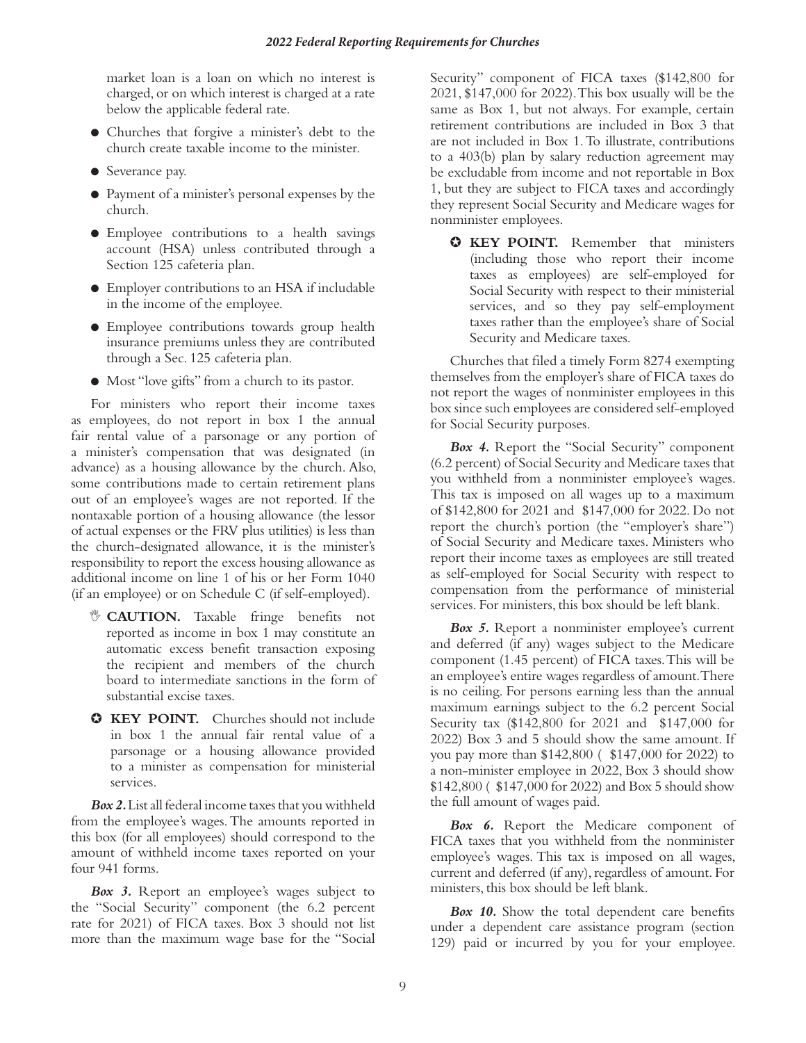market loan is a loan on which no interest is charged, or on which interest is charged at a rate below the applicable federal rate.

- Churches that forgive a minister's debt to the church create taxable income to the minister.
- Severance pay.
- Payment of a minister's personal expenses by the church.
- Employee contributions to a health savings account (HSA) unless contributed through a Section 125 cafeteria plan.
- Employer contributions to an HSA if includable in the income of the employee.
- Employee contributions towards group health insurance premiums unless they are contributed through a Sec. 125 cafeteria plan.
- Most "love gifts" from a church to its pastor.

For ministers who report their income taxes as employees, do not report in box 1 the annual fair rental value of a parsonage or any portion of a minister's compensation that was designated (in advance) as a housing allowance by the church. Also, some contributions made to certain retirement plans out of an employee's wages are not reported. If the nontaxable portion of a housing allowance (the lessor of actual expenses or the FRV plus utilities) is less than the church-designated allowance, it is the minister's responsibility to report the excess housing allowance as additional income on line 1 of his or her Form 1040 (if an employee) or on Schedule C (if self-employed).

- , **CAUTION.** Taxable fringe benefits not reported as income in box 1 may constitute an automatic excess benefit transaction exposing the recipient and members of the church board to intermediate sanctions in the form of substantial excise taxes.
- ✪ **KEY POINT.** Churches should not include in box 1 the annual fair rental value of a parsonage or a housing allowance provided to a minister as compensation for ministerial services.

*Box 2.* List all federal income taxes that you withheld from the employee's wages. The amounts reported in this box (for all employees) should correspond to the amount of withheld income taxes reported on your four 941 forms.

*Box 3.* Report an employee's wages subject to the "Social Security" component (the 6.2 percent rate for 2021) of FICA taxes. Box 3 should not list more than the maximum wage base for the "Social

Security" component of FICA taxes (\$142,800 for 2021, \$147,000 for 2022). This box usually will be the same as Box 1, but not always. For example, certain retirement contributions are included in Box 3 that are not included in Box 1. To illustrate, contributions to a 403(b) plan by salary reduction agreement may be excludable from income and not reportable in Box 1, but they are subject to FICA taxes and accordingly they represent Social Security and Medicare wages for nonminister employees.

✪ **KEY POINT.** Remember that ministers (including those who report their income taxes as employees) are self-employed for Social Security with respect to their ministerial services, and so they pay self-employment taxes rather than the employee's share of Social Security and Medicare taxes.

Churches that filed a timely Form 8274 exempting themselves from the employer's share of FICA taxes do not report the wages of nonminister employees in this box since such employees are considered self-employed for Social Security purposes.

*Box 4.* Report the "Social Security" component (6.2 percent) of Social Security and Medicare taxes that you withheld from a nonminister employee's wages. This tax is imposed on all wages up to a maximum of \$142,800 for 2021 and \$147,000 for 2022. Do not report the church's portion (the "employer's share") of Social Security and Medicare taxes. Ministers who report their income taxes as employees are still treated as self-employed for Social Security with respect to compensation from the performance of ministerial services. For ministers, this box should be left blank.

*Box 5.* Report a nonminister employee's current and deferred (if any) wages subject to the Medicare component (1.45 percent) of FICA taxes. This will be an employee's entire wages regardless of amount. There is no ceiling. For persons earning less than the annual maximum earnings subject to the 6.2 percent Social Security tax (\$142,800 for 2021 and \$147,000 for 2022) Box 3 and 5 should show the same amount. If you pay more than \$142,800 ( \$147,000 for 2022) to a non-minister employee in 2022, Box 3 should show \$142,800 ( \$147,000 for 2022) and Box 5 should show the full amount of wages paid.

*Box 6.* Report the Medicare component of FICA taxes that you withheld from the nonminister employee's wages. This tax is imposed on all wages, current and deferred (if any), regardless of amount. For ministers, this box should be left blank.

*Box 10.* Show the total dependent care benefits under a dependent care assistance program (section 129) paid or incurred by you for your employee.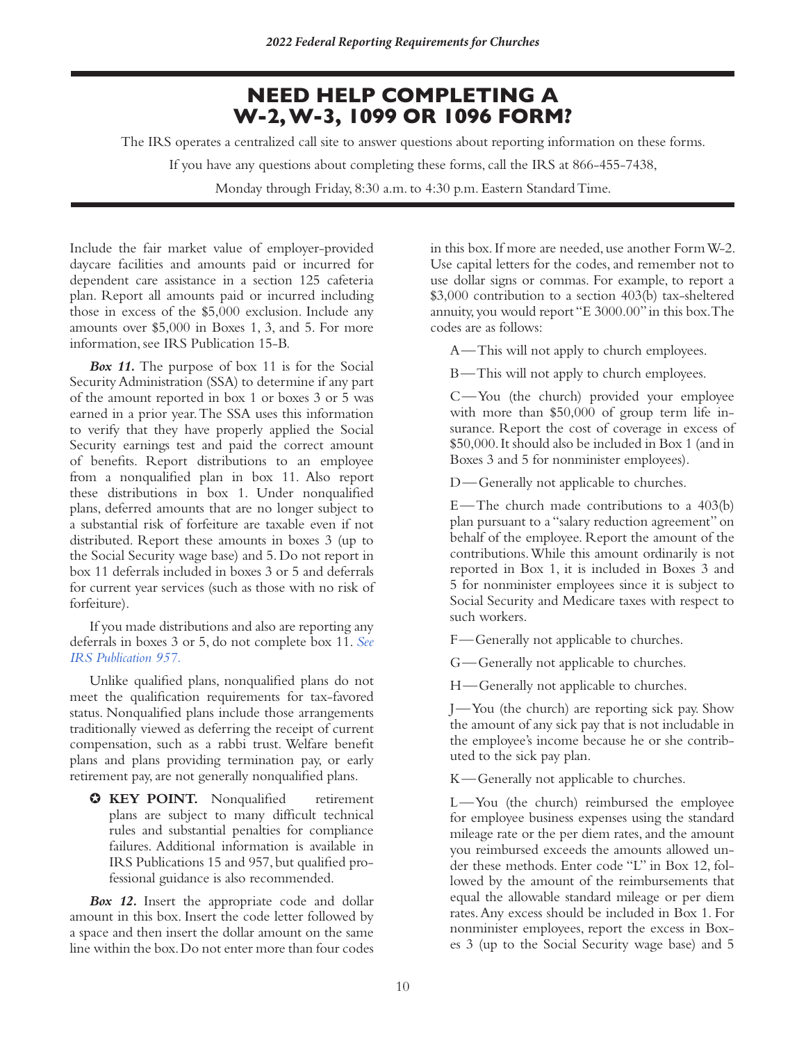# **NEED HELP COMPLETING A W-2,W-3, 1099 OR 1096 FORM?**

The IRS operates a centralized call site to answer questions about reporting information on these forms.

If you have any questions about completing these forms, call the IRS at 866-455-7438,

Monday through Friday, 8:30 a.m. to 4:30 p.m. Eastern Standard Time.

Include the fair market value of employer-provided daycare facilities and amounts paid or incurred for dependent care assistance in a section 125 cafeteria plan. Report all amounts paid or incurred including those in excess of the \$5,000 exclusion. Include any amounts over \$5,000 in Boxes 1, 3, and 5. For more information, see IRS Publication 15-B.

*Box 11.* The purpose of box 11 is for the Social Security Administration (SSA) to determine if any part of the amount reported in box 1 or boxes 3 or 5 was earned in a prior year. The SSA uses this information to verify that they have properly applied the Social Security earnings test and paid the correct amount of benefits. Report distributions to an employee from a nonqualified plan in box 11. Also report these distributions in box 1. Under nonqualified plans, deferred amounts that are no longer subject to a substantial risk of forfeiture are taxable even if not distributed. Report these amounts in boxes 3 (up to the Social Security wage base) and 5. Do not report in box 11 deferrals included in boxes 3 or 5 and deferrals for current year services (such as those with no risk of forfeiture).

If you made distributions and also are reporting any deferrals in boxes 3 or 5, do not complete box 11. *[See](https://www.irs.gov/publications/p957) [IRS Publication 957.](https://www.irs.gov/publications/p957)*

Unlike qualified plans, nonqualified plans do not meet the qualification requirements for tax-favored status. Nonqualified plans include those arrangements traditionally viewed as deferring the receipt of current compensation, such as a rabbi trust. Welfare benefit plans and plans providing termination pay, or early retirement pay, are not generally nonqualified plans.

✪ **KEY POINT.** Nonqualified retirement plans are subject to many difficult technical rules and substantial penalties for compliance failures. Additional information is available in IRS Publications 15 and 957, but qualified professional guidance is also recommended.

*Box 12.* Insert the appropriate code and dollar amount in this box. Insert the code letter followed by a space and then insert the dollar amount on the same line within the box. Do not enter more than four codes in this box. If more are needed, use another Form W-2. Use capital letters for the codes, and remember not to use dollar signs or commas. For example, to report a \$3,000 contribution to a section 403(b) tax-sheltered annuity, you would report "E 3000.00" in this box. The codes are as follows:

A—This will not apply to church employees.

B—This will not apply to church employees.

C—You (the church) provided your employee with more than \$50,000 of group term life insurance. Report the cost of coverage in excess of \$50,000. It should also be included in Box 1 (and in Boxes 3 and 5 for nonminister employees).

D—Generally not applicable to churches.

E—The church made contributions to a 403(b) plan pursuant to a "salary reduction agreement" on behalf of the employee. Report the amount of the contributions. While this amount ordinarily is not reported in Box 1, it is included in Boxes 3 and 5 for nonminister employees since it is subject to Social Security and Medicare taxes with respect to such workers.

F—Generally not applicable to churches.

G—Generally not applicable to churches.

H—Generally not applicable to churches.

J—You (the church) are reporting sick pay. Show the amount of any sick pay that is not includable in the employee's income because he or she contributed to the sick pay plan.

K—Generally not applicable to churches.

L—You (the church) reimbursed the employee for employee business expenses using the standard mileage rate or the per diem rates, and the amount you reimbursed exceeds the amounts allowed under these methods. Enter code "L" in Box 12, followed by the amount of the reimbursements that equal the allowable standard mileage or per diem rates. Any excess should be included in Box 1. For nonminister employees, report the excess in Boxes 3 (up to the Social Security wage base) and 5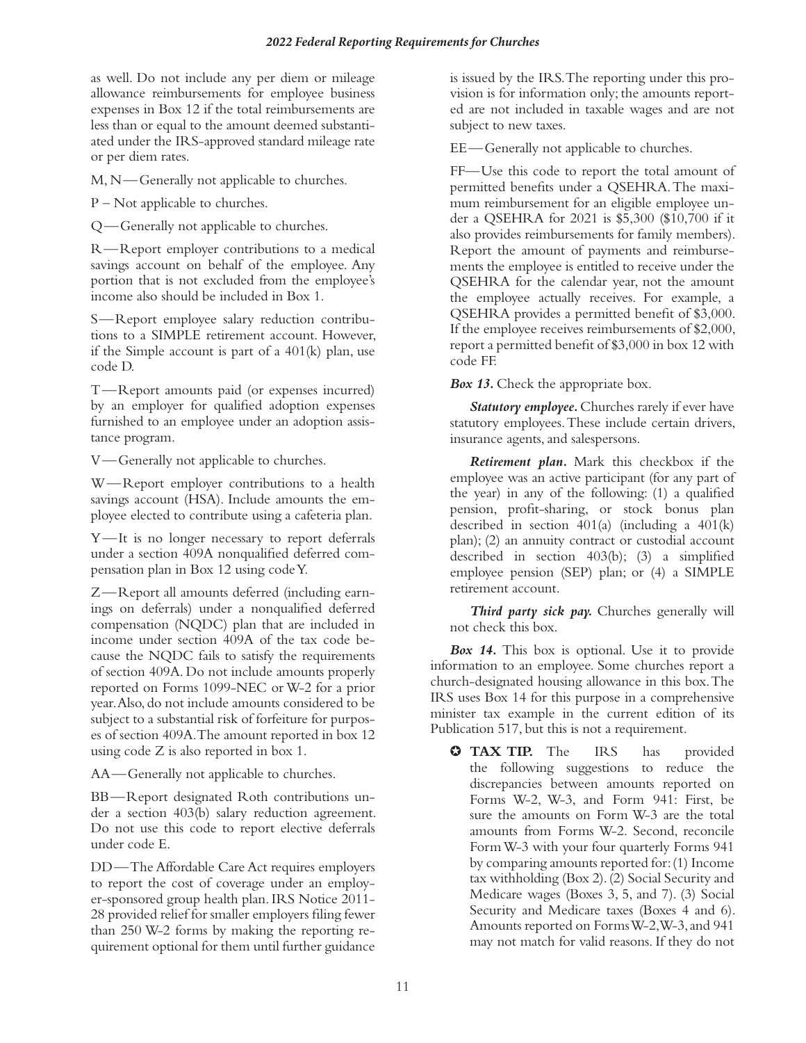as well. Do not include any per diem or mileage allowance reimbursements for employee business expenses in Box 12 if the total reimbursements are less than or equal to the amount deemed substantiated under the IRS-approved standard mileage rate or per diem rates.

M, N—Generally not applicable to churches.

P – Not applicable to churches.

Q—Generally not applicable to churches.

R—Report employer contributions to a medical savings account on behalf of the employee. Any portion that is not excluded from the employee's income also should be included in Box 1.

S—Report employee salary reduction contributions to a SIMPLE retirement account. However, if the Simple account is part of a 401(k) plan, use code D.

T—Report amounts paid (or expenses incurred) by an employer for qualified adoption expenses furnished to an employee under an adoption assistance program.

V—Generally not applicable to churches.

W—Report employer contributions to a health savings account (HSA). Include amounts the employee elected to contribute using a cafeteria plan.

Y—It is no longer necessary to report deferrals under a section 409A nonqualified deferred compensation plan in Box 12 using code Y.

Z—Report all amounts deferred (including earnings on deferrals) under a nonqualified deferred compensation (NQDC) plan that are included in income under section 409A of the tax code because the NQDC fails to satisfy the requirements of section 409A. Do not include amounts properly reported on Forms 1099-NEC or W-2 for a prior year. Also, do not include amounts considered to be subject to a substantial risk of forfeiture for purposes of section 409A. The amount reported in box 12 using code Z is also reported in box 1.

AA—Generally not applicable to churches.

BB—Report designated Roth contributions under a section 403(b) salary reduction agreement. Do not use this code to report elective deferrals under code E.

DD—The Affordable Care Act requires employers to report the cost of coverage under an employer-sponsored group health plan. IRS Notice 2011- 28 provided relief for smaller employers filing fewer than 250 W-2 forms by making the reporting requirement optional for them until further guidance

is issued by the IRS. The reporting under this provision is for information only; the amounts reported are not included in taxable wages and are not subject to new taxes.

EE—Generally not applicable to churches.

FF—Use this code to report the total amount of permitted benefits under a QSEHRA. The maximum reimbursement for an eligible employee under a QSEHRA for 2021 is \$5,300 (\$10,700 if it also provides reimbursements for family members). Report the amount of payments and reimbursements the employee is entitled to receive under the QSEHRA for the calendar year, not the amount the employee actually receives. For example, a QSEHRA provides a permitted benefit of \$3,000. If the employee receives reimbursements of \$2,000, report a permitted benefit of \$3,000 in box 12 with code FF.

*Box 13.* Check the appropriate box.

*Statutory employee.* Churches rarely if ever have statutory employees. These include certain drivers, insurance agents, and salespersons.

*Retirement plan.* Mark this checkbox if the employee was an active participant (for any part of the year) in any of the following: (1) a qualified pension, profit-sharing, or stock bonus plan described in section 401(a) (including a 401(k) plan); (2) an annuity contract or custodial account described in section 403(b); (3) a simplified employee pension (SEP) plan; or (4) a SIMPLE retirement account.

*Third party sick pay.* Churches generally will not check this box.

*Box 14.* This box is optional. Use it to provide information to an employee. Some churches report a church-designated housing allowance in this box. The IRS uses Box 14 for this purpose in a comprehensive minister tax example in the current edition of its Publication 517, but this is not a requirement.

✪ **TAX TIP.** The IRS has provided the following suggestions to reduce the discrepancies between amounts reported on Forms W-2, W-3, and Form 941: First, be sure the amounts on Form W-3 are the total amounts from Forms W-2. Second, reconcile Form W-3 with your four quarterly Forms 941 by comparing amounts reported for: (1) Income tax withholding (Box 2). (2) Social Security and Medicare wages (Boxes 3, 5, and 7). (3) Social Security and Medicare taxes (Boxes 4 and 6). Amounts reported on Forms W-2, W-3, and 941 may not match for valid reasons. If they do not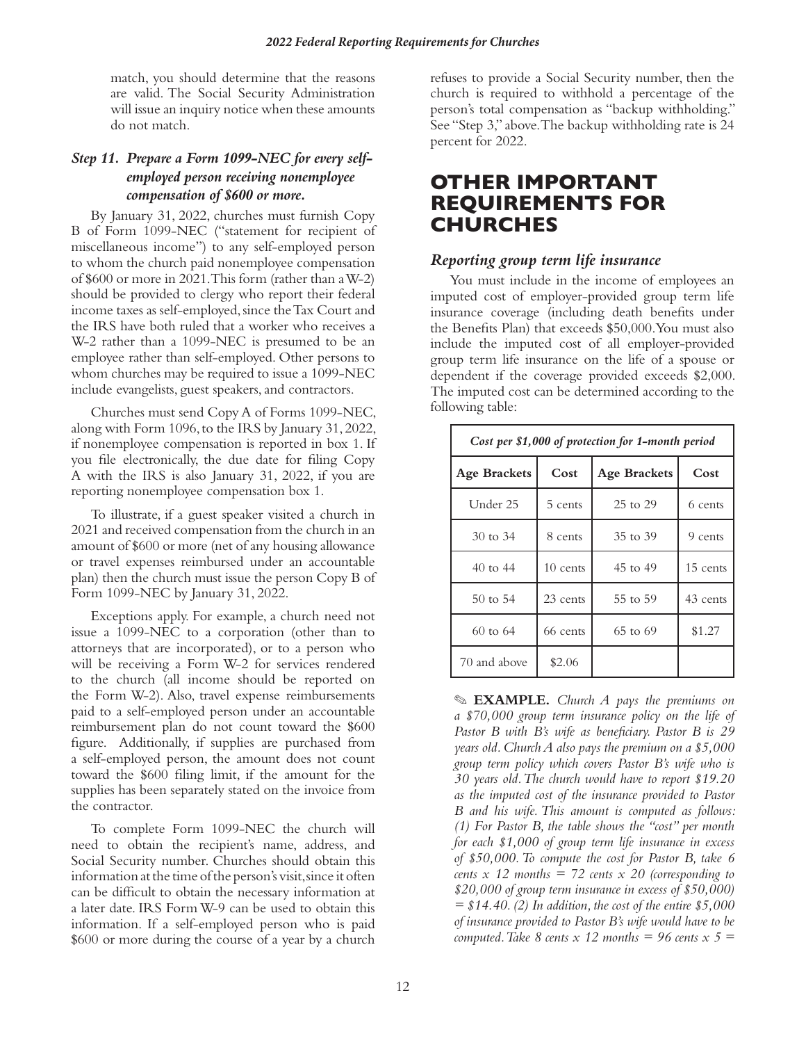match, you should determine that the reasons are valid. The Social Security Administration will issue an inquiry notice when these amounts do not match.

# *Step 11. Prepare a Form 1099-NEC for every selfemployed person receiving nonemployee compensation of \$600 or more.*

By January 31, 2022, churches must furnish Copy B of Form 1099-NEC ("statement for recipient of miscellaneous income") to any self-employed person to whom the church paid nonemployee compensation of \$600 or more in 2021. This form (rather than a W-2) should be provided to clergy who report their federal income taxes as self-employed, since the Tax Court and the IRS have both ruled that a worker who receives a W-2 rather than a 1099-NEC is presumed to be an employee rather than self-employed. Other persons to whom churches may be required to issue a 1099-NEC include evangelists, guest speakers, and contractors.

Churches must send Copy A of Forms 1099-NEC, along with Form 1096, to the IRS by January 31, 2022, if nonemployee compensation is reported in box 1. If you file electronically, the due date for filing Copy A with the IRS is also January 31, 2022, if you are reporting nonemployee compensation box 1.

To illustrate, if a guest speaker visited a church in 2021 and received compensation from the church in an amount of \$600 or more (net of any housing allowance or travel expenses reimbursed under an accountable plan) then the church must issue the person Copy B of Form 1099-NEC by January 31, 2022.

Exceptions apply. For example, a church need not issue a 1099-NEC to a corporation (other than to attorneys that are incorporated), or to a person who will be receiving a Form W-2 for services rendered to the church (all income should be reported on the Form W-2). Also, travel expense reimbursements paid to a self-employed person under an accountable reimbursement plan do not count toward the \$600 figure. Additionally, if supplies are purchased from a self-employed person, the amount does not count toward the \$600 filing limit, if the amount for the supplies has been separately stated on the invoice from the contractor.

To complete Form 1099-NEC the church will need to obtain the recipient's name, address, and Social Security number. Churches should obtain this information at the time of the person's visit, since it often can be difficult to obtain the necessary information at a later date. IRS Form W-9 can be used to obtain this information. If a self-employed person who is paid \$600 or more during the course of a year by a church refuses to provide a Social Security number, then the church is required to withhold a percentage of the person's total compensation as "backup withholding." See "Step 3," above. The backup withholding rate is 24 percent for 2022.

# **OTHER IMPORTANT REQUIREMENTS FOR CHURCHES**

# *Reporting group term life insurance*

You must include in the income of employees an imputed cost of employer-provided group term life insurance coverage (including death benefits under the Benefits Plan) that exceeds \$50,000. You must also include the imputed cost of all employer-provided group term life insurance on the life of a spouse or dependent if the coverage provided exceeds \$2,000. The imputed cost can be determined according to the following table:

| Cost per \$1,000 of protection for 1-month period |          |                     |          |  |  |
|---------------------------------------------------|----------|---------------------|----------|--|--|
| <b>Age Brackets</b>                               | Cost     | <b>Age Brackets</b> | Cost     |  |  |
| Under 25                                          | 5 cents  | 25 to 29            | 6 cents  |  |  |
| 30 to 34                                          | 8 cents  | 35 to 39            | 9 cents  |  |  |
| 40 to 44                                          | 10 cents | 45 to 49            | 15 cents |  |  |
| $50 \text{ to } 54$                               | 23 cents | 55 to 59            | 43 cents |  |  |
| $60$ to $64$                                      | 66 cents | $65$ to $69$        | \$1.27   |  |  |
| 70 and above                                      | \$2.06   |                     |          |  |  |

✎ **EXAMPLE.** *Church A pays the premiums on a \$70,000 group term insurance policy on the life of Pastor B with B's wife as beneficiary. Pastor B is 29 years old. Church A also pays the premium on a \$5,000 group term policy which covers Pastor B's wife who is 30 years old. The church would have to report \$19.20 as the imputed cost of the insurance provided to Pastor B and his wife. This amount is computed as follows: (1) For Pastor B, the table shows the "cost" per month for each \$1,000 of group term life insurance in excess of \$50,000. To compute the cost for Pastor B, take 6 cents x 12 months = 72 cents x 20 (corresponding to \$20,000 of group term insurance in excess of \$50,000) = \$14.40. (2) In addition, the cost of the entire \$5,000 of insurance provided to Pastor B's wife would have to be computed. Take 8 cents x 12 months = 96 cents x 5 =*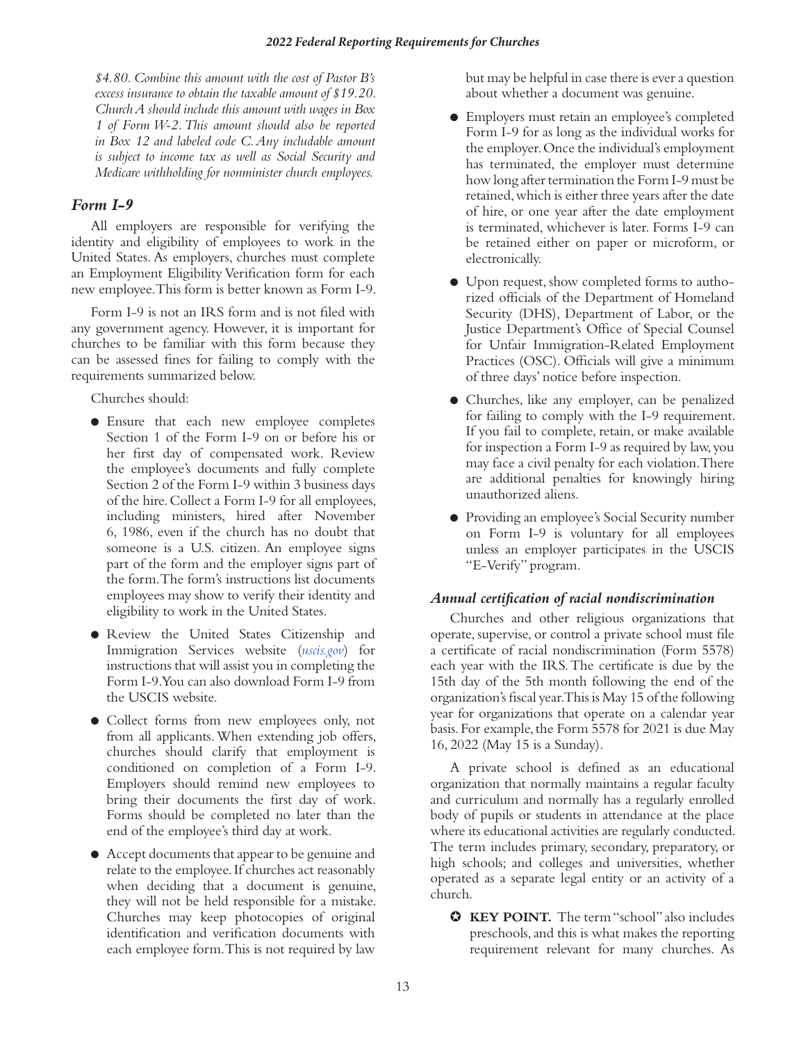*\$4.80. Combine this amount with the cost of Pastor B's excess insurance to obtain the taxable amount of \$19.20. Church A should include this amount with wages in Box 1 of Form W-2. This amount should also be reported in Box 12 and labeled code C. Any includable amount is subject to income tax as well as Social Security and Medicare withholding for nonminister church employees.*

# *Form I-9*

All employers are responsible for verifying the identity and eligibility of employees to work in the United States. As employers, churches must complete an Employment Eligibility Verification form for each new employee. This form is better known as Form I-9.

Form I-9 is not an IRS form and is not filed with any government agency. However, it is important for churches to be familiar with this form because they can be assessed fines for failing to comply with the requirements summarized below.

Churches should:

- Ensure that each new employee completes Section 1 of the Form I-9 on or before his or her first day of compensated work. Review the employee's documents and fully complete Section 2 of the Form I-9 within 3 business days of the hire. Collect a Form I-9 for all employees, including ministers, hired after November 6, 1986, even if the church has no doubt that someone is a U.S. citizen. An employee signs part of the form and the employer signs part of the form. The form's instructions list documents employees may show to verify their identity and eligibility to work in the United States.
- Review the United States Citizenship and Immigration Services website (*[uscis.gov](http://uscis.gov)*) for instructions that will assist you in completing the Form I-9. You can also download Form I-9 from the USCIS website.
- Collect forms from new employees only, not from all applicants. When extending job offers, churches should clarify that employment is conditioned on completion of a Form I-9. Employers should remind new employees to bring their documents the first day of work. Forms should be completed no later than the end of the employee's third day at work.
- Accept documents that appear to be genuine and relate to the employee. If churches act reasonably when deciding that a document is genuine, they will not be held responsible for a mistake. Churches may keep photocopies of original identification and verification documents with each employee form. This is not required by law

but may be helpful in case there is ever a question about whether a document was genuine.

- Employers must retain an employee's completed Form I-9 for as long as the individual works for the employer. Once the individual's employment has terminated, the employer must determine how long after termination the Form I-9 must be retained, which is either three years after the date of hire, or one year after the date employment is terminated, whichever is later. Forms I-9 can be retained either on paper or microform, or electronically.
- Upon request, show completed forms to authorized officials of the Department of Homeland Security (DHS), Department of Labor, or the Justice Department's Office of Special Counsel for Unfair Immigration-Related Employment Practices (OSC). Officials will give a minimum of three days' notice before inspection.
- Churches, like any employer, can be penalized for failing to comply with the I-9 requirement. If you fail to complete, retain, or make available for inspection a Form I-9 as required by law, you may face a civil penalty for each violation. There are additional penalties for knowingly hiring unauthorized aliens.
- Providing an employee's Social Security number on Form I-9 is voluntary for all employees unless an employer participates in the USCIS "E-Verify" program.

# *Annual certification of racial nondiscrimination*

Churches and other religious organizations that operate, supervise, or control a private school must file a certificate of racial nondiscrimination (Form 5578) each year with the IRS. The certificate is due by the 15th day of the 5th month following the end of the organization's fiscal year. This is May 15 of the following year for organizations that operate on a calendar year basis. For example, the Form 5578 for 2021 is due May 16, 2022 (May 15 is a Sunday).

A private school is defined as an educational organization that normally maintains a regular faculty and curriculum and normally has a regularly enrolled body of pupils or students in attendance at the place where its educational activities are regularly conducted. The term includes primary, secondary, preparatory, or high schools; and colleges and universities, whether operated as a separate legal entity or an activity of a church.

✪ **KEY POINT.** The term "school" also includes preschools, and this is what makes the reporting requirement relevant for many churches. As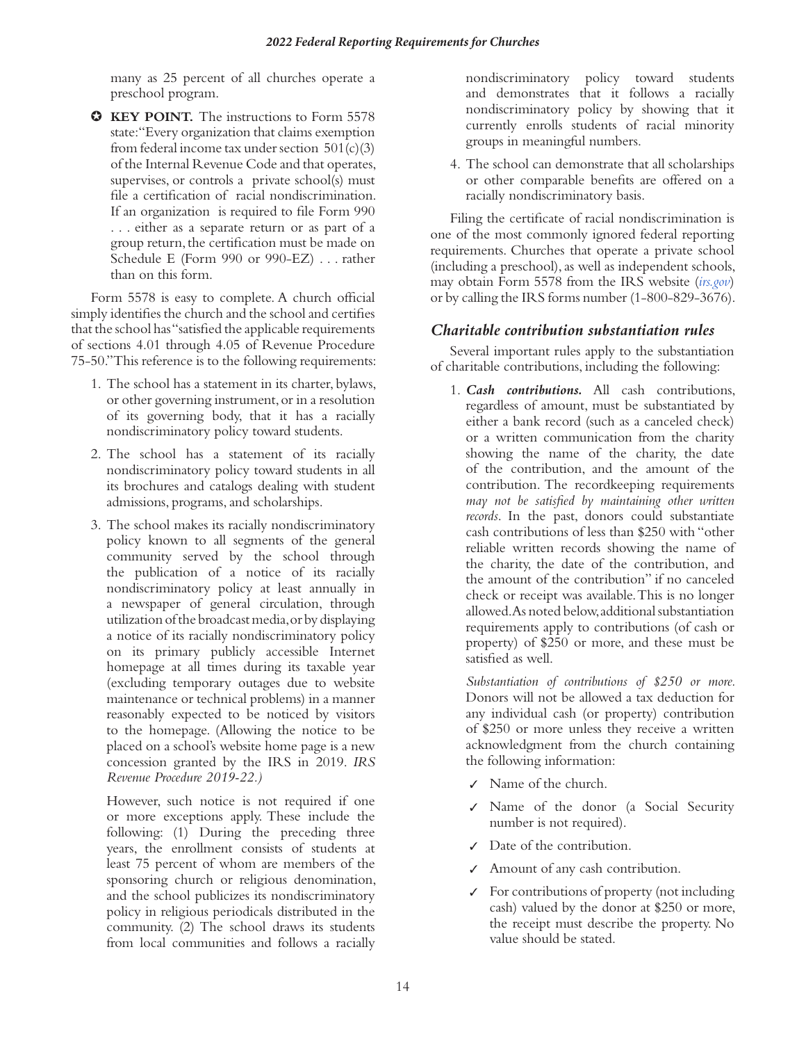many as 25 percent of all churches operate a preschool program.

✪ **KEY POINT.** The instructions to Form 5578 state: "Every organization that claims exemption from federal income tax under section  $501(c)(3)$ of the Internal Revenue Code and that operates, supervises, or controls a private school(s) must file a certification of racial nondiscrimination. If an organization is required to file Form 990 . . . either as a separate return or as part of a group return, the certification must be made on Schedule E (Form 990 or 990-EZ) . . . rather than on this form.

Form 5578 is easy to complete. A church official simply identifies the church and the school and certifies that the school has "satisfied the applicable requirements of sections 4.01 through 4.05 of Revenue Procedure 75-50." This reference is to the following requirements:

- 1. The school has a statement in its charter, bylaws, or other governing instrument, or in a resolution of its governing body, that it has a racially nondiscriminatory policy toward students.
- 2. The school has a statement of its racially nondiscriminatory policy toward students in all its brochures and catalogs dealing with student admissions, programs, and scholarships.
- 3. The school makes its racially nondiscriminatory policy known to all segments of the general community served by the school through the publication of a notice of its racially nondiscriminatory policy at least annually in a newspaper of general circulation, through utilization of the broadcast media, or by displaying a notice of its racially nondiscriminatory policy on its primary publicly accessible Internet homepage at all times during its taxable year (excluding temporary outages due to website maintenance or technical problems) in a manner reasonably expected to be noticed by visitors to the homepage. (Allowing the notice to be placed on a school's website home page is a new concession granted by the IRS in 2019. *IRS Revenue Procedure 2019-22.)*

However, such notice is not required if one or more exceptions apply. These include the following: (1) During the preceding three years, the enrollment consists of students at least 75 percent of whom are members of the sponsoring church or religious denomination, and the school publicizes its nondiscriminatory policy in religious periodicals distributed in the community. (2) The school draws its students from local communities and follows a racially

nondiscriminatory policy toward students and demonstrates that it follows a racially nondiscriminatory policy by showing that it currently enrolls students of racial minority groups in meaningful numbers.

4. The school can demonstrate that all scholarships or other comparable benefits are offered on a racially nondiscriminatory basis.

Filing the certificate of racial nondiscrimination is one of the most commonly ignored federal reporting requirements. Churches that operate a private school (including a preschool), as well as independent schools, may obtain Form 5578 from the IRS website (*[irs.gov](https://www.irs.gov/)*) or by calling the IRS forms number (1-800-829-3676).

# *Charitable contribution substantiation rules*

Several important rules apply to the substantiation of charitable contributions, including the following:

1. *Cash contributions.* All cash contributions, regardless of amount, must be substantiated by either a bank record (such as a canceled check) or a written communication from the charity showing the name of the charity, the date of the contribution, and the amount of the contribution. The recordkeeping requirements *may not be satisfied by maintaining other written records*. In the past, donors could substantiate cash contributions of less than \$250 with "other reliable written records showing the name of the charity, the date of the contribution, and the amount of the contribution" if no canceled check or receipt was available. This is no longer allowed. As noted below, additional substantiation requirements apply to contributions (of cash or property) of \$250 or more, and these must be satisfied as well.

*Substantiation of contributions of \$250 or more.*  Donors will not be allowed a tax deduction for any individual cash (or property) contribution of \$250 or more unless they receive a written acknowledgment from the church containing the following information:

- ✓ Name of the church.
- ✓ Name of the donor (a Social Security number is not required).
- ✓ Date of the contribution.
- ✓ Amount of any cash contribution.
- ✓ For contributions of property (not including cash) valued by the donor at \$250 or more, the receipt must describe the property. No value should be stated.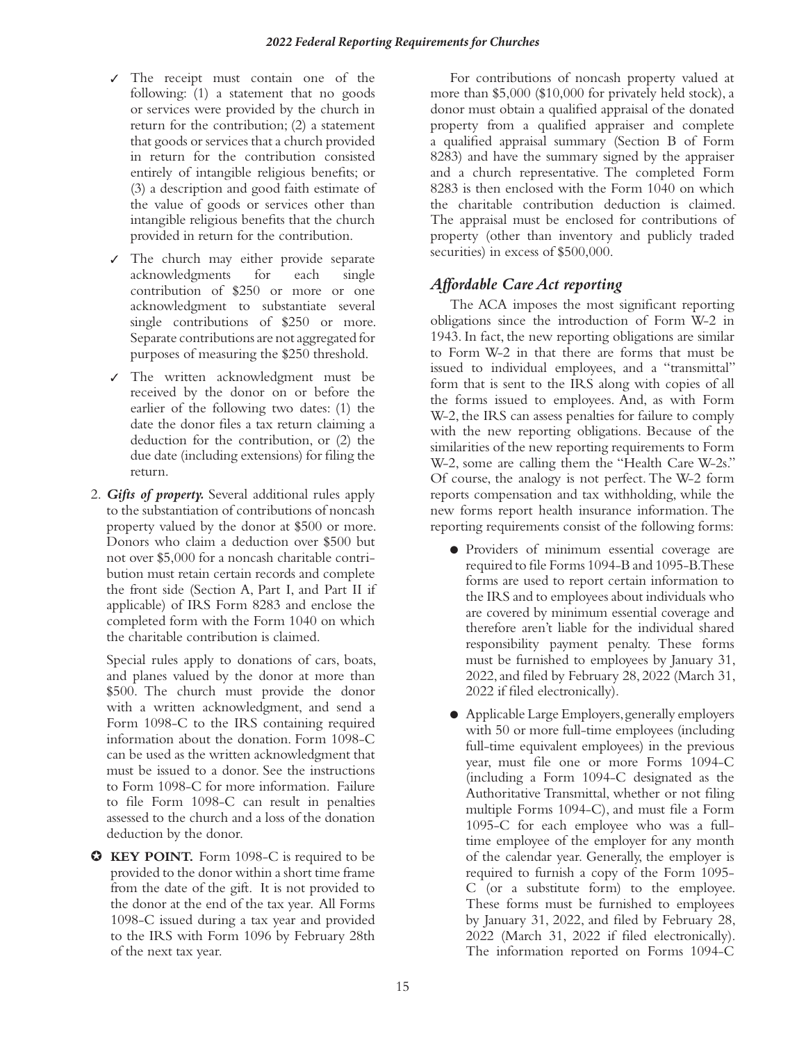- ✓ The receipt must contain one of the following: (1) a statement that no goods or services were provided by the church in return for the contribution; (2) a statement that goods or services that a church provided in return for the contribution consisted entirely of intangible religious benefits; or (3) a description and good faith estimate of the value of goods or services other than intangible religious benefits that the church provided in return for the contribution.
- ✓ The church may either provide separate acknowledgments for each single contribution of \$250 or more or one acknowledgment to substantiate several single contributions of \$250 or more. Separate contributions are not aggregated for purposes of measuring the \$250 threshold.
- ✓ The written acknowledgment must be received by the donor on or before the earlier of the following two dates: (1) the date the donor files a tax return claiming a deduction for the contribution, or (2) the due date (including extensions) for filing the return.
- 2. *Gifts of property.* Several additional rules apply to the substantiation of contributions of noncash property valued by the donor at \$500 or more. Donors who claim a deduction over \$500 but not over \$5,000 for a noncash charitable contribution must retain certain records and complete the front side (Section A, Part I, and Part II if applicable) of IRS Form 8283 and enclose the completed form with the Form 1040 on which the charitable contribution is claimed.

Special rules apply to donations of cars, boats, and planes valued by the donor at more than \$500. The church must provide the donor with a written acknowledgment, and send a Form 1098-C to the IRS containing required information about the donation. Form 1098-C can be used as the written acknowledgment that must be issued to a donor. See the instructions to Form 1098-C for more information. Failure to file Form 1098-C can result in penalties assessed to the church and a loss of the donation deduction by the donor.

✪ **KEY POINT.** Form 1098-C is required to be provided to the donor within a short time frame from the date of the gift. It is not provided to the donor at the end of the tax year. All Forms 1098-C issued during a tax year and provided to the IRS with Form 1096 by February 28th of the next tax year.

For contributions of noncash property valued at more than \$5,000 (\$10,000 for privately held stock), a donor must obtain a qualified appraisal of the donated property from a qualified appraiser and complete a qualified appraisal summary (Section B of Form 8283) and have the summary signed by the appraiser and a church representative. The completed Form 8283 is then enclosed with the Form 1040 on which the charitable contribution deduction is claimed. The appraisal must be enclosed for contributions of property (other than inventory and publicly traded securities) in excess of \$500,000.

# *Affordable Care Act reporting*

The ACA imposes the most significant reporting obligations since the introduction of Form W-2 in 1943. In fact, the new reporting obligations are similar to Form W-2 in that there are forms that must be issued to individual employees, and a "transmittal" form that is sent to the IRS along with copies of all the forms issued to employees. And, as with Form W-2, the IRS can assess penalties for failure to comply with the new reporting obligations. Because of the similarities of the new reporting requirements to Form W-2, some are calling them the "Health Care W-2s." Of course, the analogy is not perfect. The W-2 form reports compensation and tax withholding, while the new forms report health insurance information. The reporting requirements consist of the following forms:

- Providers of minimum essential coverage are required to file Forms 1094-B and 1095-B. These forms are used to report certain information to the IRS and to employees about individuals who are covered by minimum essential coverage and therefore aren't liable for the individual shared responsibility payment penalty. These forms must be furnished to employees by January 31, 2022, and filed by February 28, 2022 (March 31, 2022 if filed electronically).
- Applicable Large Employers, generally employers with 50 or more full-time employees (including full-time equivalent employees) in the previous year, must file one or more Forms 1094-C (including a Form 1094-C designated as the Authoritative Transmittal, whether or not filing multiple Forms 1094-C), and must file a Form 1095-C for each employee who was a fulltime employee of the employer for any month of the calendar year. Generally, the employer is required to furnish a copy of the Form 1095- C (or a substitute form) to the employee. These forms must be furnished to employees by January 31, 2022, and filed by February 28, 2022 (March 31, 2022 if filed electronically). The information reported on Forms 1094-C